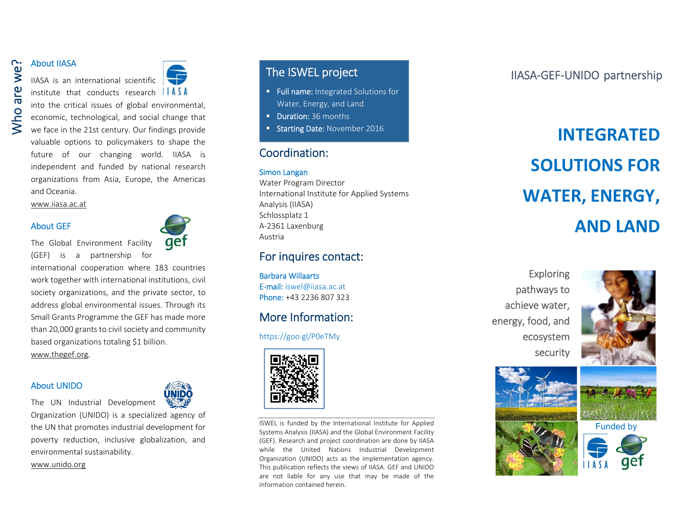## About IIASA

## IIASA is an international scientific institute that conducts research  $\|\nparallel A \,\leq A$



into the critical issues of global environmental, economic, technological, and social change that we face in the 21st century. Our findings provide valuable options to policymakers to shape the future of our changing world. IIASA is independent and funded by national research organizations from Asia, Europe, the Americas and Oceania. About IIASA<br>
IIASA is an international scientific<br>
institute that conducts research  $\begin{array}{c|c|c} \hline \textbf{I} & \textbf{I} & \textbf{I} & \textbf{I} & \textbf{I} \\ \hline \textbf{I} & \textbf{I} & \textbf{I} & \textbf{I} & \textbf{I} & \textbf{I} \\ \hline \textbf{I} & \textbf{I} & \textbf{I} & \textbf{I} & \textbf{I} & \textbf{I$ 

www.iiasa.ac.at

#### About GEF



The Global Environment Facility (GEF) is <sup>a</sup> partnership for

international cooperation where 183 countries work together with international institutions, civil society organizations, and the private sector, to address global environmental issues. Through its Small Grants Programme the GEF has made more than 20,000 grants to civil society and community based organizations totaling \$1 billion. www.thegef.org.

#### About UNIDO

The UN Industrial Development

Organization (UNIDO) is <sup>a</sup> specialized agency of the UN that promotes industrial development for poverty reduction, inclusive globalization, and environmental sustainability.

#### www.unido.org



- **Full name:** Integrated Solutions for Water, Energy, and Land
- **Duration:** 36 months
- **Starting Date: November 2016**

## Coordination:

#### Simon Langan

Water Program Director International Institute for Applied Systems Analysis (IIASA) Schlossplatz 1 A‐2361 Laxenburg Austria

### For inquires contact:

Barbara Willaarts E-mail: iswel@iiasa.ac.at Phone: +43 2236 807 323

## More Information:

https://goo.gl/P0eTMy



ISWEL is funded by the International Institute for Applied Systems Analysis (IIASA) and the Global Environment Facility (GEF). Research and project coordination are done by IIASA while the United Nations Industrial Development Organization (UNIDO) acts as the implementation agency. This publication reflects the views of IIASA. GEF and UNIDO are not liable for any use that may be made of the information contained herein.

## IIASA‐GEF‐UNIDO partnership

# **INTEGRATED SOLUTIONS FOR WATER, ENERGY, AND LAND**

Exploring pathways to achieve water, energy, food, and ecosystem security